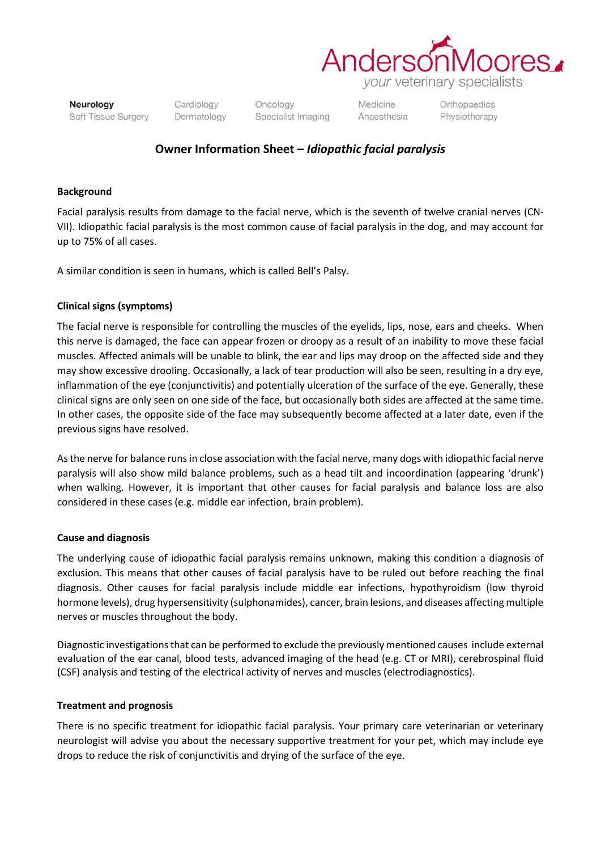

Neurology Soft Tissue Surgery Cardiology Dermatology Oncology Specialist Imaging Medicine Anaesthesia Orthopaedics Physiotherapy

# **Owner Information Sheet –** *Idiopathic facial paralysis*

#### **Background**

Facial paralysis results from damage to the facial nerve, which is the seventh of twelve cranial nerves (CN-VII). Idiopathic facial paralysis is the most common cause of facial paralysis in the dog, and may account for up to 75% of all cases.

A similar condition is seen in humans, which is called Bell's Palsy.

## **Clinical signs (symptoms)**

The facial nerve is responsible for controlling the muscles of the eyelids, lips, nose, ears and cheeks. When this nerve is damaged, the face can appear frozen or droopy as a result of an inability to move these facial muscles. Affected animals will be unable to blink, the ear and lips may droop on the affected side and they may show excessive drooling. Occasionally, a lack of tear production will also be seen, resulting in a dry eye, inflammation of the eye (conjunctivitis) and potentially ulceration of the surface of the eye. Generally, these clinical signs are only seen on one side of the face, but occasionally both sides are affected at the same time. In other cases, the opposite side of the face may subsequently become affected at a later date, even if the previous signs have resolved.

As the nerve for balance runs in close association with the facial nerve, many dogs with idiopathic facial nerve paralysis will also show mild balance problems, such as a head tilt and incoordination (appearing 'drunk') when walking. However, it is important that other causes for facial paralysis and balance loss are also considered in these cases (e.g. middle ear infection, brain problem).

#### **Cause and diagnosis**

The underlying cause of idiopathic facial paralysis remains unknown, making this condition a diagnosis of exclusion. This means that other causes of facial paralysis have to be ruled out before reaching the final diagnosis. Other causes for facial paralysis include middle ear infections, hypothyroidism (low thyroid hormone levels), drug hypersensitivity (sulphonamides), cancer, brain lesions, and diseases affecting multiple nerves or muscles throughout the body.

Diagnostic investigations that can be performed to exclude the previously mentioned causes include external evaluation of the ear canal, blood tests, advanced imaging of the head (e.g. CT or MRI), cerebrospinal fluid (CSF) analysis and testing of the electrical activity of nerves and muscles (electrodiagnostics).

## **Treatment and prognosis**

There is no specific treatment for idiopathic facial paralysis. Your primary care veterinarian or veterinary neurologist will advise you about the necessary supportive treatment for your pet, which may include eye drops to reduce the risk of conjunctivitis and drying of the surface of the eye.